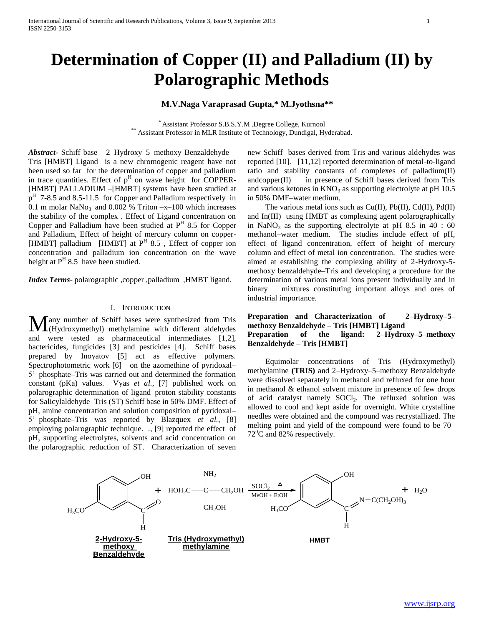# **Determination of Copper (II) and Palladium (II) by Polarographic Methods**

## **M.V.Naga Varaprasad Gupta,\* M.Jyothsna\*\***

\* Assistant Professor S.B.S.Y.M .Degree College, Kurnool \*\* Assistant Professor in MLR Institute of Technology, Dundigal, Hyderabad.

*Abstract***-** Schiff base 2–Hydroxy–5–methoxy Benzaldehyde – Tris [HMBT] Ligand is a new chromogenic reagent have not been used so far for the determination of copper and palladium in trace quantities. Effect of  $p<sup>H</sup>$  on wave height for COPPER-[HMBT] PALLADIUM –[HMBT] systems have been studied at p<sup>H</sup> 7-8.5 and 8.5-11.5 for Copper and Palladium respectively in 0.1 m molar  $NaNo<sub>3</sub>$  and 0.002 % Triton  $-x-100$  which increases the stability of the complex . Effect of Ligand concentration on Copper and Palladium have been studied at  $P<sup>H</sup>$  8.5 for Copper and Palladium, Effect of height of mercury column on copper- [HMBT] palladium  $-[HMBT]$  at  $P<sup>H</sup> 8.5$ , Effect of copper ion concentration and palladium ion concentration on the wave height at  $P^H$  8.5 have been studied.

*Index Terms*- polarographic ,copper ,palladium ,HMBT ligand.

#### I. INTRODUCTION

any number of Schiff bases were synthesized from Tris Many number of Schiff bases were synthesized from Tris (Hydroxymethyl) methylamine with different aldehydes and were tested as pharmaceutical intermediates [1,2], bactericides, fungicides [3] and pesticides [4]. Schiff bases prepared by Inoyatov [5] act as effective polymers. Spectrophotometric work [6] on the azomethine of pyridoxal– 5'–phosphate**–**Tris was carried out and determined the formation constant (pKa) values. Vyas *et al.*, [7] published work on polarographic determination of ligand–proton stability constants for Salicylaldehyde–Tris (ST) Schiff base in 50% DMF. Effect of pH, amine concentration and solution composition of pyridoxal– 5'–phosphate**–**Tris was reported by Blazquex *et al.*, [8] employing polarographic technique. *.*, [9] reported the effect of pH, supporting electrolytes, solvents and acid concentration on the polarographic reduction of ST. Characterization of seven

new Schiff bases derived from Tris and various aldehydes was reported [10]. [11,12] reported determination of metal-to-ligand ratio and stability constants of complexes of palladium(II) andcopper(II) in presence of Schiff bases derived from Tris and various ketones in  $KNO_3$  as supporting electrolyte at pH 10.5 in 50% DMF–water medium.

The various metal ions such as  $Cu(II)$ ,  $Pb(II)$ ,  $Cd(II)$ ,  $Pd(II)$ and In(III) using HMBT as complexing agent polarographically in NaNO<sub>3</sub> as the supporting electrolyte at pH  $8.5$  in  $40 : 60$ methanol–water medium. The studies include effect of pH, effect of ligand concentration, effect of height of mercury column and effect of metal ion concentration. The studies were aimed at establishing the complexing ability of 2-Hydroxy-5 methoxy benzaldehyde–Tris and developing a procedure for the determination of various metal ions present individually and in binary mixtures constituting important alloys and ores of industrial importance.

## **Preparation and Characterization of 2–Hydroxy–5– methoxy Benzaldehyde – Tris [HMBT] Ligand Preparation of the ligand: 2–Hydroxy–5–methoxy Benzaldehyde – Tris [HMBT]**

 Equimolar concentrations of Tris (Hydroxymethyl) methylamine **(TRIS)** and 2–Hydroxy–5–methoxy Benzaldehyde were dissolved separately in methanol and refluxed for one hour in methanol & ethanol solvent mixture in presence of few drops of acid catalyst namely SOCl<sub>2</sub>. The refluxed solution was allowed to cool and kept aside for overnight. White crystalline needles were obtained and the compound was recrystallized. The melting point and yield of the compound were found to be 70–  $72^{\circ}$ C and 82% respectively.

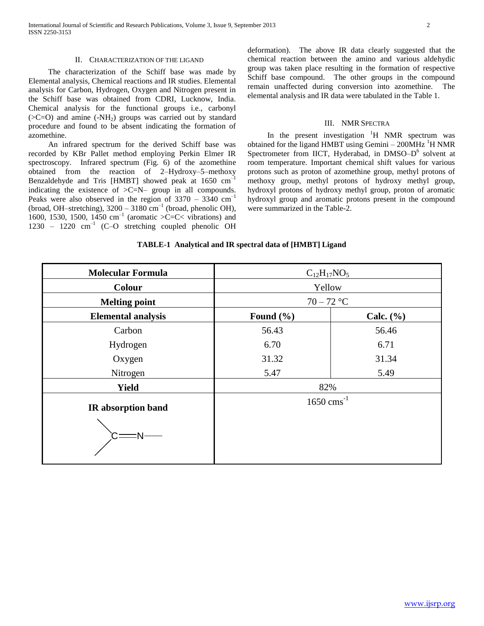#### II. CHARACTERIZATION OF THE LIGAND

The characterization of the Schiff base was made by Elemental analysis, Chemical reactions and IR studies. Elemental analysis for Carbon, Hydrogen, Oxygen and Nitrogen present in the Schiff base was obtained from CDRI, Lucknow, India. Chemical analysis for the functional groups i.e., carbonyl  $(SC=O)$  and amine  $(-NH<sub>2</sub>)$  groups was carried out by standard procedure and found to be absent indicating the formation of azomethine.

An infrared spectrum for the derived Schiff base was recorded by KBr Pallet method employing Perkin Elmer IR spectroscopy. Infrared spectrum (Fig. 6) of the azomethine obtained from the reaction of 2–Hydroxy–5–methoxy Benzaldehyde and Tris [HMBT] showed peak at  $1650 \text{ cm}^{-1}$ indicating the existence of >C=N– group in all compounds. Peaks were also observed in the region of  $3370 - 3340$  cm<sup>-1</sup> (broad, OH–stretching),  $3200 - 3180$  cm<sup>-1</sup> (broad, phenolic OH), 1600, 1530, 1500, 1450  $\text{cm}^{-1}$  (aromatic >C=C< vibrations) and 1230 - 1220 cm<sup>-1</sup> (C-O stretching coupled phenolic OH deformation). The above IR data clearly suggested that the chemical reaction between the amino and various aldehydic group was taken place resulting in the formation of respective Schiff base compound. The other groups in the compound remain unaffected during conversion into azomethine. The elemental analysis and IR data were tabulated in the Table 1.

#### III. NMR SPECTRA

In the present investigation  ${}^{1}H$  NMR spectrum was obtained for the ligand HMBT using Gemini  $-$  200MHz  $^1$ H NMR Spectrometer from IICT, Hyderabad, in DMSO-D<sup>6</sup> solvent at room temperature. Important chemical shift values for various protons such as proton of azomethine group, methyl protons of methoxy group, methyl protons of hydroxy methyl group, hydroxyl protons of hydroxy methyl group, proton of aromatic hydroxyl group and aromatic protons present in the compound were summarized in the Table-2.

#### **TABLE-1 Analytical and IR spectral data of [HMBT] Ligand**

| <b>Molecular Formula</b>  | $C_{12}H_{17}NO_5$       |               |
|---------------------------|--------------------------|---------------|
| <b>Colour</b>             | Yellow                   |               |
| <b>Melting point</b>      | $70 - 72$ °C             |               |
| <b>Elemental analysis</b> | Found $(\% )$            | Calc. $(\% )$ |
| Carbon                    | 56.43                    | 56.46         |
| Hydrogen                  | 6.70                     | 6.71          |
| Oxygen                    | 31.32                    | 31.34         |
| Nitrogen                  | 5.47                     | 5.49          |
| <b>Yield</b>              | 82%                      |               |
| IR absorption band        | $1650$ cms <sup>-1</sup> |               |
|                           |                          |               |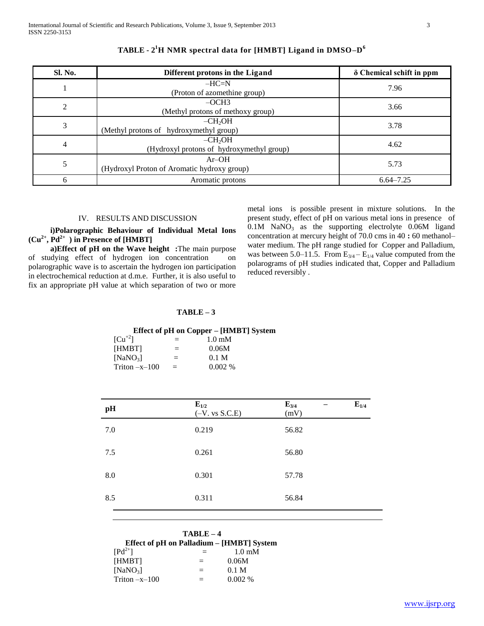| Sl. No.        | Different protons in the Ligand                        | $\delta$ Chemical schift in ppm |
|----------------|--------------------------------------------------------|---------------------------------|
|                | $-HC=N$<br>(Proton of azomethine group)                | 7.96                            |
| $\overline{2}$ | $-OCH3$<br>(Methyl protons of methoxy group)           | 3.66                            |
| 3              | $-CH2OH$<br>(Methyl protons of hydroxymethyl group)    | 3.78                            |
| 4              | $-CH2OH$<br>(Hydroxyl protons of hydroxymethyl group)  | 4.62                            |
| 5              | $Ar-OH$<br>(Hydroxyl Proton of Aromatic hydroxy group) | 5.73                            |
| 6              | Aromatic protons                                       | $6.64 - 7.25$                   |

## **TABLE - 2 <sup>1</sup>H NMR spectral data for [HMBT] Ligand in DMSO–D 6**

## IV. RESULTS AND DISCUSSION

 **i)Polarographic Behaviour of Individual Metal Ions**   $(Cu^{2+}, Pd^{2+})$  in Presence of [HMBT]

 **a)Effect of pH on the Wave height :**The main purpose of studying effect of hydrogen ion concentration on polarographic wave is to ascertain the hydrogen ion participation in electrochemical reduction at d.m.e. Further, it is also useful to fix an appropriate pH value at which separation of two or more

metal ions is possible present in mixture solutions. In the present study, effect of pH on various metal ions in presence of  $0.1M$  NaNO<sub>3</sub> as the supporting electrolyte  $0.06M$  ligand concentration at mercury height of 70.0 cms in 40 **:** 60 methanol– water medium. The pH range studied for Copper and Palladium, was between 5.0–11.5. From  $E_{3/4}$  –  $E_{1/4}$  value computed from the polarograms of pH studies indicated that, Copper and Palladium reduced reversibly .

### **TABLE – 3**

## **Effect of pH on Copper – [HMBT] System**

| $\lceil Cu^{+2} \rceil$ | $=$ | $1.0 \text{ }\mathrm{mM}$ |
|-------------------------|-----|---------------------------|
| [HMBT]                  | $=$ | 0.06M                     |
| $[NaNO_3]$              | $=$ | $0.1$ M                   |
| $Triton -x-100$         | $=$ | $0.002\%$                 |

| pH  | $E_{1/2}$<br>$(-V. vs S.C.E)$ | $E_{1/4}$<br>$E_{3/4}$<br>(mV) |
|-----|-------------------------------|--------------------------------|
| 7.0 | 0.219                         | 56.82                          |
| 7.5 | 0.261                         | 56.80                          |
| 8.0 | 0.301                         | 57.78                          |
| 8.5 | 0.311                         | 56.84                          |
|     |                               |                                |

|                                           | $TABLE-4$ |                  |
|-------------------------------------------|-----------|------------------|
| Effect of pH on Palladium – [HMBT] System |           |                  |
| $\left[\text{Pd}^{2+}\right]$             | $=$ $-$   | $1.0 \text{ mM}$ |
| [HMBT]                                    | $=$       | 0.06M            |
| $[NaNO_2]$                                |           | 0.1 M            |
| Triton $-x-100$                           |           | $0.002\%$        |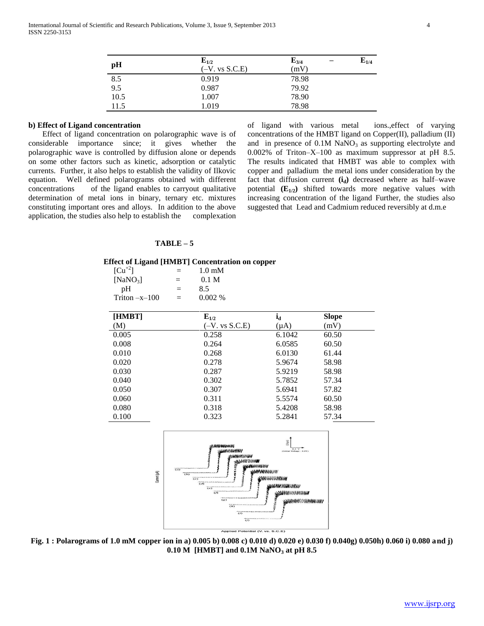| pH   | $E_{1/2}$<br>$(-V. vs S.C.E)$ | $E_{1/4}$<br>$E_{3/4}$<br>(mV) |
|------|-------------------------------|--------------------------------|
| 8.5  | 0.919                         | 78.98                          |
| 9.5  | 0.987                         | 79.92                          |
| 10.5 | 1.007                         | 78.90                          |
| 11.5 | 1.019                         | 78.98                          |

## **b) Effect of Ligand concentration**

Effect of ligand concentration on polarographic wave is of considerable importance since; it gives whether the polarographic wave is controlled by diffusion alone or depends on some other factors such as kinetic, adsorption or catalytic currents. Further, it also helps to establish the validity of Ilkovic equation. Well defined polarograms obtained with different concentrations of the ligand enables to carryout qualitative determination of metal ions in binary, ternary etc. mixtures constituting important ores and alloys. In addition to the above application, the studies also help to establish the complexation

of ligand with various metal ions.,effect of varying concentrations of the HMBT ligand on Copper(II), palladium (II) and in presence of  $0.1M$  NaNO<sub>3</sub> as supporting electrolyte and 0.002% of Triton–X–100 as maximum suppressor at pH 8.5. The results indicated that HMBT was able to complex with copper and palladium the metal ions under consideration by the fact that diffusion current **(id)** decreased where as half–wave potential  $(E_{1/2})$  shifted towards more negative values with increasing concentration of the ligand Further, the studies also suggested that Lead and Cadmium reduced reversibly at d.m.e

#### **TABLE – 5**

#### **Effect of Ligand [HMBT] Concentration on copper**

| $\lceil Cu^{+2} \rceil$ | $=$      | $1.0 \text{ mM}$ |
|-------------------------|----------|------------------|
| $[NaNO_3]$              | $=$      | 0.1 <sub>M</sub> |
| pΗ                      | $\equiv$ | 8.5              |
| $Triton -x-100$         | $\equiv$ | $0.002\%$        |

| [HMBT] | $E_{1/2}$        | $i_d$     | <b>Slope</b> |
|--------|------------------|-----------|--------------|
| (M)    | $(-V. vs S.C.E)$ | $(\mu A)$ | (mV)         |
| 0.005  | 0.258            | 6.1042    | 60.50        |
| 0.008  | 0.264            | 6.0585    | 60.50        |
| 0.010  | 0.268            | 6.0130    | 61.44        |
| 0.020  | 0.278            | 5.9674    | 58.98        |
| 0.030  | 0.287            | 5.9219    | 58.98        |
| 0.040  | 0.302            | 5.7852    | 57.34        |
| 0.050  | 0.307            | 5.6941    | 57.82        |
| 0.060  | 0.311            | 5.5574    | 60.50        |
| 0.080  | 0.318            | 5.4208    | 58.98        |
| 0.100  | 0.323            | 5.2841    | 57.34        |



**Fig. 1 : Polarograms of 1.0 mM copper ion in a) 0.005 b) 0.008 c) 0.010 d) 0.020 e) 0.030 f) 0.040g) 0.050h) 0.060 i) 0.080 and j) 0.10 M [HMBT] and 0.1M NaNO<sup>3</sup> at pH 8.5**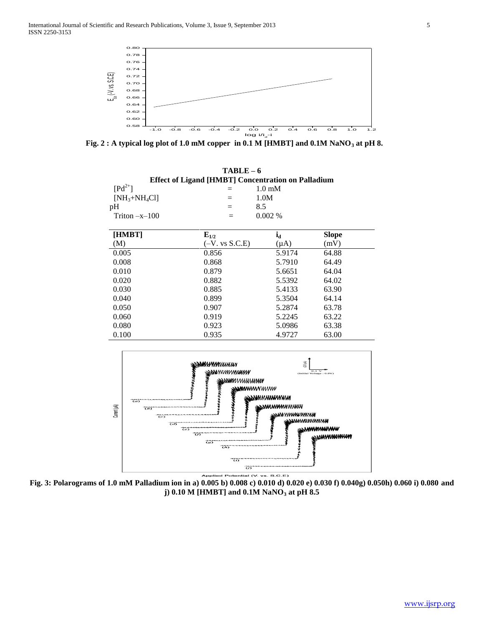

 **Fig. 2 : A typical log plot of 1.0 mM copper in 0.1 M [HMBT] and 0.1M NaNO<sup>3</sup> at pH 8.**

|                                                                                         | $TABLE-6$                                                                                                                                             |                                                                                     |                                         |
|-----------------------------------------------------------------------------------------|-------------------------------------------------------------------------------------------------------------------------------------------------------|-------------------------------------------------------------------------------------|-----------------------------------------|
|                                                                                         | <b>Effect of Ligand [HMBT] Concentration on Palladium</b>                                                                                             |                                                                                     |                                         |
| $\lceil \mathrm{Pd}^{2+} \rceil$                                                        | $\equiv$                                                                                                                                              | $1.0 \text{ mM}$                                                                    |                                         |
| $[NH3+NH4Cl]$                                                                           | $=$                                                                                                                                                   | 1.0M                                                                                |                                         |
| pH                                                                                      | 8.5<br>$=$                                                                                                                                            |                                                                                     |                                         |
| Triton $-x-100$                                                                         | $=$                                                                                                                                                   | 0.002%                                                                              |                                         |
| [HMBT]                                                                                  | $E_{1/2}$                                                                                                                                             | $i_d$                                                                               | <b>Slope</b>                            |
| (M)                                                                                     | $(-V. vs S.C.E)$                                                                                                                                      | $(\mu A)$                                                                           | (mV)                                    |
| 0.005                                                                                   | 0.856                                                                                                                                                 | 5.9174                                                                              | 64.88                                   |
| 0.008                                                                                   | 0.868                                                                                                                                                 | 5.7910                                                                              | 64.49                                   |
| 0.010                                                                                   | 0.879                                                                                                                                                 | 5.6651                                                                              | 64.04                                   |
| 0.020                                                                                   | 0.882                                                                                                                                                 | 5.5392                                                                              | 64.02                                   |
| 0.030                                                                                   | 0.885                                                                                                                                                 | 5.4133                                                                              | 63.90                                   |
| 0.040                                                                                   | 0.899                                                                                                                                                 | 5.3504                                                                              | 64.14                                   |
| 0.050                                                                                   | 0.907                                                                                                                                                 | 5.2874                                                                              | 63.78                                   |
| 0.060                                                                                   | 0.919                                                                                                                                                 | 5.2245                                                                              | 63.22                                   |
| 0.080                                                                                   | 0.923                                                                                                                                                 | 5.0986                                                                              | 63.38                                   |
| 0.100                                                                                   | 0.935                                                                                                                                                 | 4.9727                                                                              | 63.00                                   |
| $\overline{(a)}$<br>Current (µA)<br>$\overline{55}$<br>$\overline{c}$<br>$\overline{3}$ | <b>NM<i>uyym</i></b> mmmw<br>wwwwww<br><b>NUMANI</b><br><b>mwww</b> ww<br>$\overline{c}$<br>$\overline{\omega}$<br>$\overline{w}$<br>$\overline{(h)}$ | (HIO<br><b>NWWWWWWW</b><br><b>NMWMM</b> WMWW<br><b>ыл</b> ипимимими<br>ssaasaunnnuu | <b><i><u><i>NANYMAHHHAM</i></u></i></b> |
|                                                                                         | $\overline{\omega}$<br>$\widetilde{\omega}$<br>Applied Potential (V. vs. S.C.E)                                                                       |                                                                                     |                                         |

**Fig. 3: Polarograms of 1.0 mM Palladium ion in a) 0.005 b) 0.008 c) 0.010 d) 0.020 e) 0.030 f) 0.040g) 0.050h) 0.060 i) 0.080 and j) 0.10 M [HMBT] and 0.1M NaNO<sup>3</sup> at pH 8.5**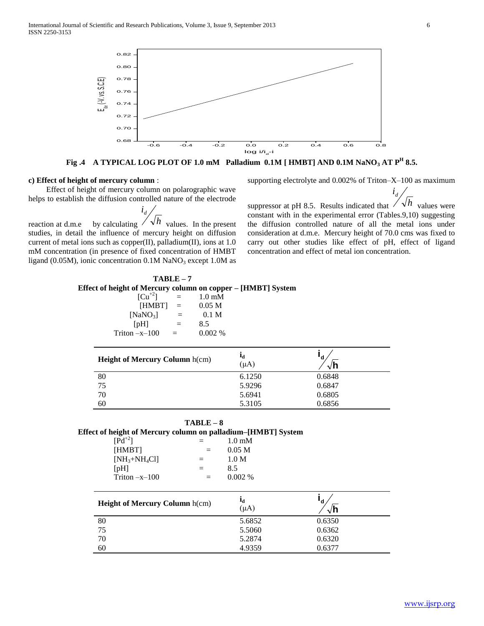

**Fig .4 A TYPICAL LOG PLOT OF 1.0 mM Palladium 0.1M [ HMBT] AND 0.1M NaNO<sup>3</sup> AT P<sup>H</sup> 8.5.**

#### **c) Effect of height of mercury column** :

 Effect of height of mercury column on polarographic wave helps to establish the diffusion controlled nature of the electrode

reaction at d.m.e by calculating *h* values. In the present *i d* studies, in detail the influence of mercury height on diffusion current of metal ions such as copper(II), palladium(II), ions at 1.0 mM concentration (in presence of fixed concentration of HMBT ligand (0.05M), ionic concentration  $0.1M$  NaNO<sub>3</sub> except  $1.0M$  as

supporting electrolyte and 0.002% of Triton–X–100 as maximum

*i d*

suppressor at pH 8.5. Results indicated that  $\sqrt{\lambda h}$  values were constant with in the experimental error (Tables.9,10) suggesting the diffusion controlled nature of all the metal ions under consideration at d.m.e. Mercury height of 70.0 cms was fixed to carry out other studies like effect of pH, effect of ligand concentration and effect of metal ion concentration.

## **TABLE – 7 Effect of height of Mercury column on copper – [HMBT] System**

| $=$ | $1.0 \text{ mM}$ |
|-----|------------------|
| $=$ | 0.05 M           |
| $=$ | 0.1 <sub>M</sub> |
| $=$ | 8.5              |
| $=$ | 0.002%           |
|     |                  |

| <b>Height of Mercury Column h(cm)</b> | եե<br>$(\mu A)$ | ď<br>√h |  |
|---------------------------------------|-----------------|---------|--|
| 80                                    | 6.1250          | 0.6848  |  |
| 75                                    | 5.9296          | 0.6847  |  |
| 70                                    | 5.6941          | 0.6805  |  |
| 60                                    | 5.3105          | 0.6856  |  |

 **TABLE – 8**

| Effect of height of Mercury column on palladium-[HMBT] System |
|---------------------------------------------------------------|
|---------------------------------------------------------------|

| $\left[\text{Pd}^{+2}\right]$ |          | $1.0 \text{ }\mathrm{mM}$ |
|-------------------------------|----------|---------------------------|
| [HMBT]                        | $\equiv$ | 0.05 M                    |
| $[NH_3 + NH_4Cl]$             | $=$      | 1.0 M                     |
| [PH]                          | $=$      | 8.5                       |
| Triton $-x-100$               | $=$      | $0.002\%$                 |
|                               |          |                           |

| <b>Height of Mercury Column h(cm)</b> | ьL<br>$(\mu A)$ | 'd<br>$\sqrt{n}$ |  |
|---------------------------------------|-----------------|------------------|--|
| 80                                    | 5.6852          | 0.6350           |  |
| 75                                    | 5.5060          | 0.6362           |  |
| 70                                    | 5.2874          | 0.6320           |  |
| 60                                    | 4.9359          | 0.6377           |  |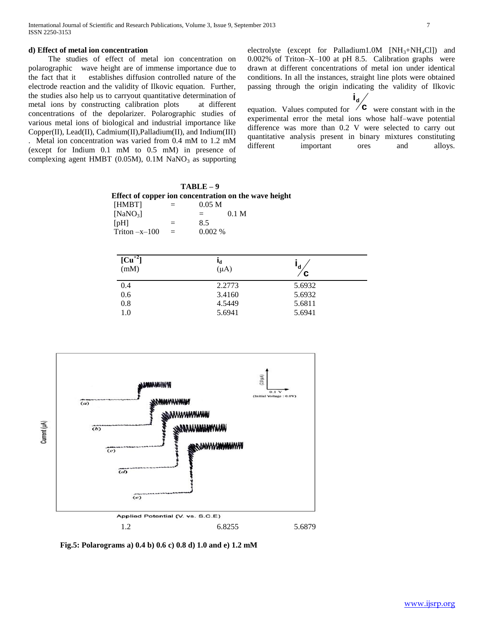The studies of effect of metal ion concentration on polarographic wave height are of immense importance due to the fact that it establishes diffusion controlled nature of the electrode reaction and the validity of Ilkovic equation. Further, the studies also help us to carryout quantitative determination of metal ions by constructing calibration plots at different concentrations of the depolarizer. Polarographic studies of various metal ions of biological and industrial importance like Copper(II), Lead(II), Cadmium(II),Palladium(II), and Indium(III)

. Metal ion concentration was varied from 0.4 mM to 1.2 mM (except for Indium 0.1 mM to 0.5 mM) in presence of complexing agent HMBT (0.05M),  $0.1M$  NaNO<sub>3</sub> as supporting electrolyte (except for Palladium1.0M [NH<sub>3</sub>+NH<sub>4</sub>Cl]) and 0.002% of Triton–X–100 at pH 8.5. Calibration graphs were drawn at different concentrations of metal ion under identical conditions. In all the instances, straight line plots were obtained passing through the origin indicating the validity of Ilkovic **id**

equation. Values computed for  $\overline{C}$  were constant with in the experimental error the metal ions whose half–wave potential difference was more than 0.2 V were selected to carry out quantitative analysis present in binary mixtures constituting different important ores and alloys.

|                   |         | $TABLE-9$         |                                                       |
|-------------------|---------|-------------------|-------------------------------------------------------|
|                   |         |                   | Effect of copper ion concentration on the wave height |
| <b>HMBT1</b>      | $=$ $-$ | 0.05 <sub>M</sub> |                                                       |
| $[NaNO_3]$        |         | $=$ $-$           | 0.1 M                                                 |
| $[D$ $H]$         | $=$     | 8.5               |                                                       |
| $Triton -x-100 =$ |         | $0.002\%$         |                                                       |

| $[\text{Cu}^{+2}]$<br>(mM) | $\mathbf{l}_d$<br>$(\mu A)$ | 'd<br>∕ C |  |
|----------------------------|-----------------------------|-----------|--|
| 0.4                        | 2.2773                      | 5.6932    |  |
| 0.6                        | 3.4160                      | 5.6932    |  |
| 0.8                        | 4.5449                      | 5.6811    |  |
| 1.0                        | 5.6941                      | 5.6941    |  |



 **Fig.5: Polarograms a) 0.4 b) 0.6 c) 0.8 d) 1.0 and e) 1.2 mM**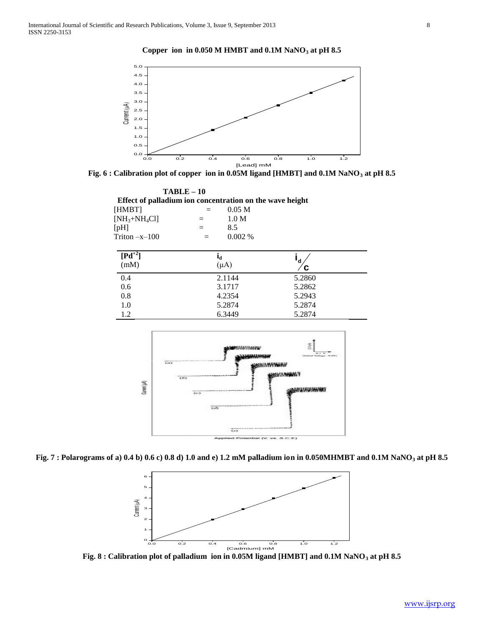#### **Copper ion in 0.050 M HMBT and 0.1M NaNO<sup>3</sup> at pH 8.5**



**Fig. 6 : Calibration plot of copper ion in 0.05M ligand [HMBT] and 0.1M NaNO<sup>3</sup> at pH 8.5**

 **TABLE – 10 Effect of palladium ion concentration on the wave height**  $[HMBT]$  = 0.05 M  $[NH_3 + NH_4Cl]$  = 1.0 M  $[pH]$  = 8.5 Triton  $-x-100 = 0.002\%$  $[{\bf P} {\bf d}^{+2}]$ (mM)  $i_d$  $(\mu A)$ **c**  $\mathbf{i}^{\mathsf{d}}$ 0.4 2.1144 5.2860 0.6 3.1717 5.2862 0.8 4.2354 5.2943 1.0 5.2874 5.2874 1.2 6.3449 5.2874



**Fig. 7 : Polarograms of a) 0.4 b) 0.6 c) 0.8 d) 1.0 and e) 1.2 mM palladium ion in 0.050MHMBT and 0.1M NaNO<sup>3</sup> at pH 8.5**



**Fig. 8 : Calibration plot of palladium ion in 0.05M ligand [HMBT] and 0.1M NaNO<sup>3</sup> at pH 8.5**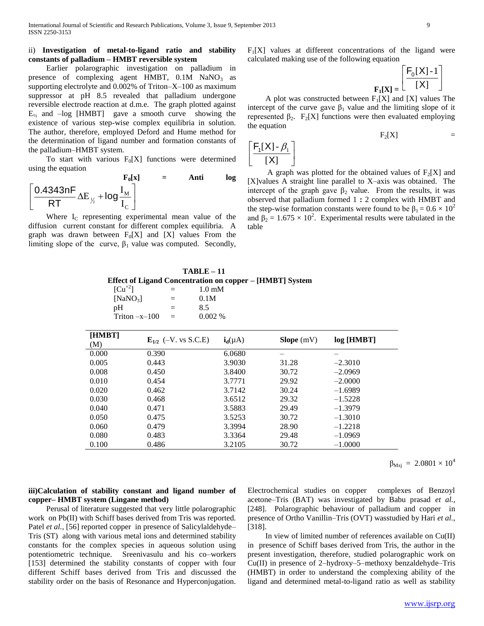## ii) **Investigation of metal-to-ligand ratio and stability constants of palladium – HMBT reversible system**

 Earlier polarographic investigation on palladium in presence of complexing agent HMBT,  $0.1M$  NaNO<sub>3</sub> as supporting electrolyte and 0.002% of Triton–X–100 as maximum suppressor at pH 8.5 revealed that palladium undergone reversible electrode reaction at d.m.e. The graph plotted against  $E_{1/2}$  and  $-\log$  [HMBT] gave a smooth curve showing the existence of various step-wise complex equilibria in solution. The author, therefore, employed Deford and Hume method for the determination of ligand number and formation constants of the palladium–HMBT system.

To start with various  $F_0[X]$  functions were determined using the equation

$$
F_0[x] = \text{Anti} \log \frac{1}{R}
$$
  

$$
\left[ \frac{0.4343nF}{RT} \Delta E_{\frac{1}{2}} + \log \frac{I_M}{I_C} \right]
$$

Where  $I_c$  representing experimental mean value of the diffusion current constant for different complex equilibria. A graph was drawn between  $F_0[X]$  and  $[X]$  values From the limiting slope of the curve,  $\beta_1$  value was computed. Secondly,

 $F<sub>1</sub>[X]$  values at different concentrations of the ligand were calculated making use of the following equation

$$
\mathbf{F}_1[\mathbf{X}] = \begin{bmatrix} \mathbf{F}_0[\mathbf{X}] - 1 \\ \hline [\mathbf{X}] \end{bmatrix}
$$

A plot was constructed between  $F_1[X]$  and [X] values The intercept of the curve gave  $\beta_1$  value and the limiting slope of it represented β<sub>2</sub>. F<sub>2</sub>[X] functions were then evaluated employing the equation

$$
F_2[X] = F_2[X] = F_2[X]
$$

A graph was plotted for the obtained values of  $F_2[X]$  and [X]values A straight line parallel to X–axis was obtained. The intercept of the graph gave  $\beta_2$  value. From the results, it was observed that palladium formed 1 **:** 2 complex with HMBT and the step-wise formation constants were found to be  $\beta_1 = 0.6 \times 10^2$ and  $\beta_2 = 1.675 \times 10^2$ . Experimental results were tabulated in the table

 **TABLE – 11 Effect of Ligand Concentration on copper – [HMBT] System**

| $[Cu^{+2}]$<br>[NaNO <sub>3</sub> ]<br>pH | $1.0 \text{ mM}$<br>$=$<br>0.1M<br>$\equiv$<br>8.5<br>$=$<br>0.002%<br>Triton $-x-100$<br>$=$ |              |            |            |
|-------------------------------------------|-----------------------------------------------------------------------------------------------|--------------|------------|------------|
| [HMBT]<br>(M)                             | $E_{1/2}$ (-V. vs S.C.E)                                                                      | $i_d(\mu A)$ | Slope (mV) | log [HMBT] |
| 0.000                                     | 0.390                                                                                         | 6.0680       |            |            |
| 0.005                                     | 0.443                                                                                         | 3.9030       | 31.28      | $-2.3010$  |
| 0.008                                     | 0.450                                                                                         | 3.8400       | 30.72      | $-2.0969$  |
| 0.010                                     | 0.454                                                                                         | 3.7771       | 29.92      | $-2.0000$  |
| 0.020                                     | 0.462                                                                                         | 3.7142       | 30.24      | $-1.6989$  |
| 0.030                                     | 0.468                                                                                         | 3.6512       | 29.32      | $-1.5228$  |
| 0.040                                     | 0.471                                                                                         | 3.5883       | 29.49      | $-1.3979$  |
| 0.050                                     | 0.475                                                                                         | 3.5253       | 30.72      | $-1.3010$  |
| 0.060                                     | 0.479                                                                                         | 3.3994       | 28.90      | $-1.2218$  |
| 0.080                                     | 0.483                                                                                         | 3.3364       | 29.48      | $-1.0969$  |

0.100 0.486 3.2105 30.72 –1.0000

 $\beta_{\text{Mxi}} = 2.0801 \times 10^4$ 

## **iii)Calculation of stability constant and ligand number of copper– HMBT system (Lingane method)**

 Perusal of literature suggested that very little polarographic work on Pb(II) with Schiff bases derived from Tris was reported. Patel *et al.*, [56] reported copper in presence of Salicylaldehyde– Tris (ST) along with various metal ions and determined stability constants for the complex species in aqueous solution using potentiometric technique. Sreenivasulu and his co–workers [153] determined the stability constants of copper with four different Schiff bases derived from Tris and discussed the stability order on the basis of Resonance and Hyperconjugation.

Electrochemical studies on copper complexes of Benzoyl acetone–Tris (BAT) was investigated by Babu prasad *et al.*, [248]. Polarographic behaviour of palladium and copper in presence of Ortho Vanillin–Tris (OVT) wasstudied by Hari *et al.*, [318].

 In view of limited number of references available on Cu(II) in presence of Schiff bases derived from Tris, the author in the present investigation, therefore, studied polarographic work on Cu(II) in presence of 2–hydroxy–5–methoxy benzaldehyde–Tris (HMBT) in order to understand the complexing ability of the ligand and determined metal-to-ligand ratio as well as stability